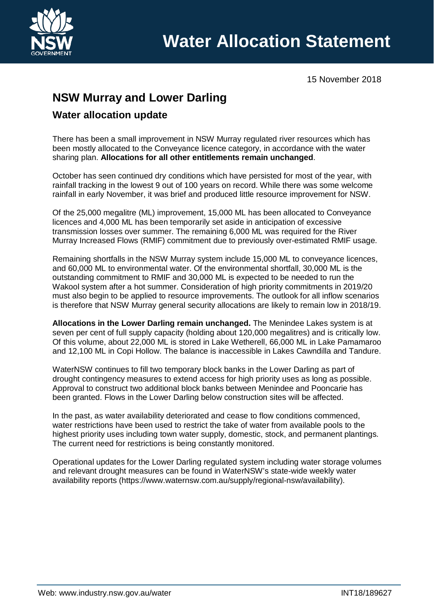

15 November 2018

# **NSW Murray and Lower Darling**

# **Water allocation update**

There has been a small improvement in NSW Murray regulated river resources which has been mostly allocated to the Conveyance licence category, in accordance with the water sharing plan. **Allocations for all other entitlements remain unchanged**.

October has seen continued dry conditions which have persisted for most of the year, with rainfall tracking in the lowest 9 out of 100 years on record. While there was some welcome rainfall in early November, it was brief and produced little resource improvement for NSW.

Of the 25,000 megalitre (ML) improvement, 15,000 ML has been allocated to Conveyance licences and 4,000 ML has been temporarily set aside in anticipation of excessive transmission losses over summer. The remaining 6,000 ML was required for the River Murray Increased Flows (RMIF) commitment due to previously over-estimated RMIF usage.

Remaining shortfalls in the NSW Murray system include 15,000 ML to conveyance licences, and 60,000 ML to environmental water. Of the environmental shortfall, 30,000 ML is the outstanding commitment to RMIF and 30,000 ML is expected to be needed to run the Wakool system after a hot summer. Consideration of high priority commitments in 2019/20 must also begin to be applied to resource improvements. The outlook for all inflow scenarios is therefore that NSW Murray general security allocations are likely to remain low in 2018/19.

**Allocations in the Lower Darling remain unchanged.** The Menindee Lakes system is at seven per cent of full supply capacity (holding about 120,000 megalitres) and is critically low. Of this volume, about 22,000 ML is stored in Lake Wetherell, 66,000 ML in Lake Pamamaroo and 12,100 ML in Copi Hollow. The balance is inaccessible in Lakes Cawndilla and Tandure.

WaterNSW continues to fill two temporary block banks in the Lower Darling as part of drought contingency measures to extend access for high priority uses as long as possible. Approval to construct two additional block banks between Menindee and Pooncarie has been granted. Flows in the Lower Darling below construction sites will be affected.

In the past, as water availability deteriorated and cease to flow conditions commenced, water restrictions have been used to restrict the take of water from available pools to the highest priority uses including town water supply, domestic, stock, and permanent plantings. The current need for restrictions is being constantly monitored.

Operational updates for the Lower Darling regulated system including water storage volumes and relevant drought measures can be found in WaterNSW's state-wide weekly water availability reports [\(https://www.waternsw.com.au/supply/regional-nsw/availability\)](https://www.waternsw.com.au/supply/regional-nsw/availability).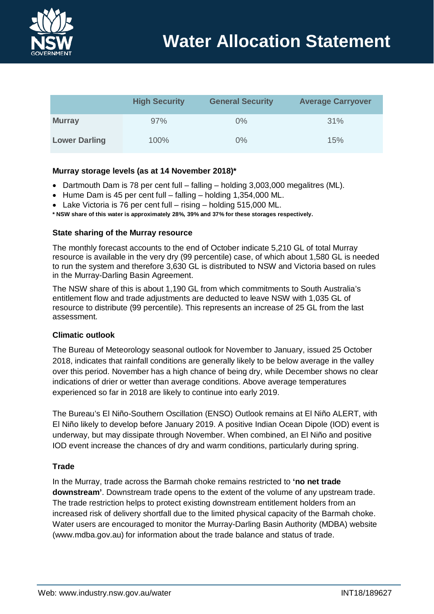

|                      | <b>High Security</b> | <b>General Security</b> | <b>Average Carryover</b> |
|----------------------|----------------------|-------------------------|--------------------------|
| <b>Murray</b>        | 97%                  | $0\%$                   | 31%                      |
| <b>Lower Darling</b> | 100%                 | $0\%$                   | 15%                      |

## **Murray storage levels (as at 14 November 2018)\***

- Dartmouth Dam is 78 per cent full falling holding 3,003,000 megalitres (ML).
- Hume Dam is 45 per cent full falling holding 1,354,000 ML.
- Lake Victoria is 76 per cent full rising holding 515,000 ML.
- **\* NSW share of this water is approximately 28%, 39% and 37% for these storages respectively.**

### **State sharing of the Murray resource**

The monthly forecast accounts to the end of October indicate 5,210 GL of total Murray resource is available in the very dry (99 percentile) case, of which about 1,580 GL is needed to run the system and therefore 3,630 GL is distributed to NSW and Victoria based on rules in the Murray-Darling Basin Agreement.

The NSW share of this is about 1,190 GL from which commitments to South Australia's entitlement flow and trade adjustments are deducted to leave NSW with 1,035 GL of resource to distribute (99 percentile). This represents an increase of 25 GL from the last assessment.

### **Climatic outlook**

The Bureau of Meteorology seasonal outlook for November to January, issued 25 October 2018, indicates that rainfall conditions are generally likely to be below average in the valley over this period. November has a high chance of being dry, while December shows no clear indications of drier or wetter than average conditions. Above average temperatures experienced so far in 2018 are likely to continue into early 2019.

The Bureau's El Niño-Southern Oscillation (ENSO) Outlook remains at El Niño ALERT, with El Niño likely to develop before January 2019. A positive Indian Ocean Dipole (IOD) event is underway, but may dissipate through November. When combined, an El Niño and positive IOD event increase the chances of dry and warm conditions, particularly during spring.

### **Trade**

In the Murray, trade across the Barmah choke remains restricted to **'no net trade downstream'**. Downstream trade opens to the extent of the volume of any upstream trade. The trade restriction helps to protect existing downstream entitlement holders from an increased risk of delivery shortfall due to the limited physical capacity of the Barmah choke. Water users are encouraged to monitor the Murray-Darling Basin Authority (MDBA) website [\(www.mdba.gov.au\)](http://www.mdba.gov.au/) for information about the trade balance and status of trade.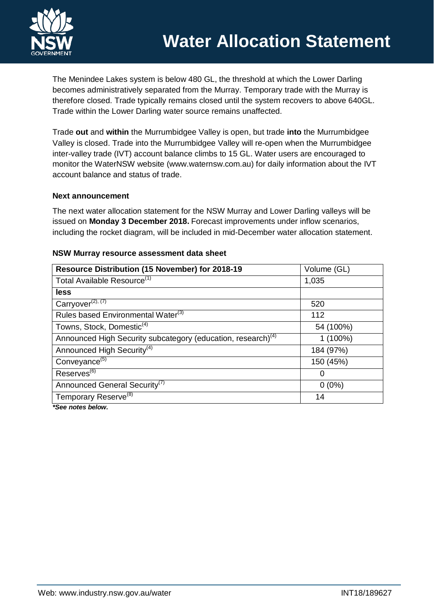The Menindee Lakes system is below 480 GL, the threshold at which the Lower Darling becomes administratively separated from the Murray. Temporary trade with the Murray is therefore closed. Trade typically remains closed until the system recovers to above 640GL. Trade within the Lower Darling water source remains unaffected.

Trade **out** and **within** the Murrumbidgee Valley is open, but trade **into** the Murrumbidgee Valley is closed. Trade into the Murrumbidgee Valley will re-open when the Murrumbidgee inter-valley trade (IVT) account balance climbs to 15 GL. Water users are encouraged to monitor the WaterNSW website [\(www.waternsw.com.au\)](http://www.waternsw.com.au/) for daily information about the IVT account balance and status of trade.

### **Next announcement**

The next water allocation statement for the NSW Murray and Lower Darling valleys will be issued on **Monday 3 December 2018.** Forecast improvements under inflow scenarios, including the rocket diagram, will be included in mid-December water allocation statement.

| Resource Distribution (15 November) for 2018-19                          | Volume (GL) |  |  |
|--------------------------------------------------------------------------|-------------|--|--|
| Total Available Resource <sup>(1)</sup>                                  | 1,035       |  |  |
| less                                                                     |             |  |  |
| $Carryover^{(2), (7)}$                                                   | 520         |  |  |
| Rules based Environmental Water <sup>(3)</sup>                           | 112         |  |  |
| Towns, Stock, Domestic <sup>(4)</sup>                                    | 54 (100%)   |  |  |
| Announced High Security subcategory (education, research) <sup>(4)</sup> | $1(100\%)$  |  |  |
| Announced High Security <sup>(4)</sup>                                   | 184 (97%)   |  |  |
| Conveyance <sup>(5)</sup>                                                | 150 (45%)   |  |  |
| Reserves <sup>(6)</sup>                                                  | $\Omega$    |  |  |
| Announced General Security <sup>(7)</sup>                                | $0(0\%)$    |  |  |
| Temporary Reserve <sup>(8)</sup>                                         | 14          |  |  |
| $*P$ aa nataa halau                                                      |             |  |  |

### **NSW Murray resource assessment data sheet**

*\*See notes below.*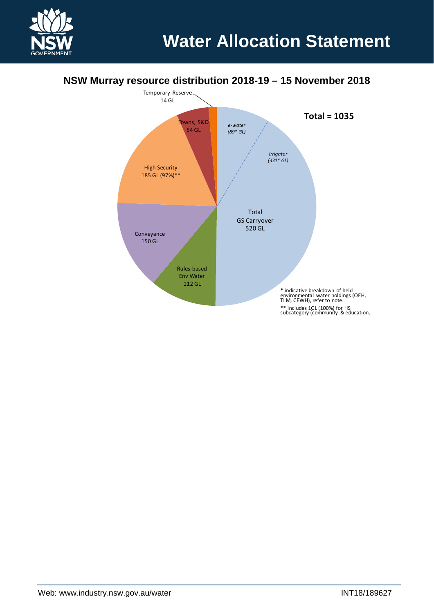

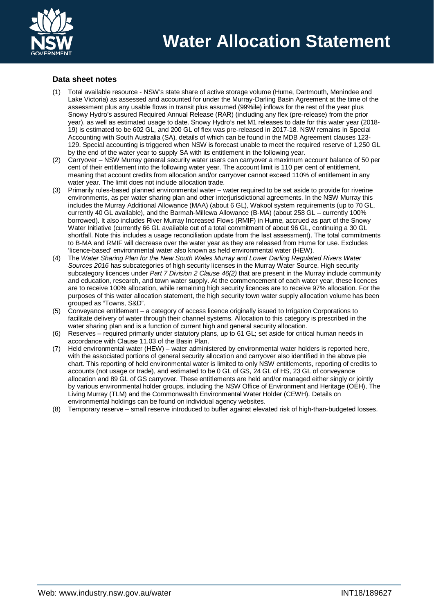

### **Data sheet notes**

- (1) Total available resource NSW's state share of active storage volume (Hume, Dartmouth, Menindee and Lake Victoria) as assessed and accounted for under the Murray-Darling Basin Agreement at the time of the assessment plus any usable flows in transit plus assumed (99%ile) inflows for the rest of the year plus Snowy Hydro's assured Required Annual Release (RAR) (including any flex (pre-release) from the prior year), as well as estimated usage to date. Snowy Hydro's net M1 releases to date for this water year (2018- 19) is estimated to be 602 GL, and 200 GL of flex was pre-released in 2017-18. NSW remains in Special Accounting with South Australia (SA), details of which can be found in the MDB Agreement clauses 123- 129. Special accounting is triggered when NSW is forecast unable to meet the required reserve of 1,250 GL by the end of the water year to supply SA with its entitlement in the following year.
- (2) Carryover NSW Murray general security water users can carryover a maximum account balance of 50 per cent of their entitlement into the following water year. The account limit is 110 per cent of entitlement, meaning that account credits from allocation and/or carryover cannot exceed 110% of entitlement in any water year. The limit does not include allocation trade.
- (3) Primarily rules-based planned environmental water water required to be set aside to provide for riverine environments, as per water sharing plan and other interjurisdictional agreements. In the NSW Murray this includes the Murray Additional Allowance (MAA) (about 6 GL), Wakool system requirements (up to 70 GL, currently 40 GL available), and the Barmah-Millewa Allowance (B-MA) (about 258 GL – currently 100% borrowed). It also includes River Murray Increased Flows (RMIF) in Hume, accrued as part of the Snowy Water Initiative (currently 66 GL available out of a total commitment of about 96 GL, continuing a 30 GL shortfall. Note this includes a usage reconciliation update from the last assessment). The total commitments to B-MA and RMIF will decrease over the water year as they are released from Hume for use. Excludes 'licence-based' environmental water also known as held environmental water (HEW).
- (4) The *Water Sharing Plan for the New South Wales Murray and Lower Darling Regulated Rivers Water Sources 2016* has subcategories of high security licenses in the Murray Water Source. High security subcategory licences under *Part 7 Division 2 Clause 46(2)* that are present in the Murray include community and education, research, and town water supply. At the commencement of each water year, these licences are to receive 100% allocation, while remaining high security licences are to receive 97% allocation. For the purposes of this water allocation statement, the high security town water supply allocation volume has been grouped as "Towns, S&D".
- (5) Conveyance entitlement a category of access licence originally issued to Irrigation Corporations to facilitate delivery of water through their channel systems. Allocation to this category is prescribed in the water sharing plan and is a function of current high and general security allocation.
- (6) Reserves required primarily under statutory plans, up to 61 GL; set aside for critical human needs in accordance with Clause 11.03 of the Basin Plan.
- (7) Held environmental water (HEW) water administered by environmental water holders is reported here, with the associated portions of general security allocation and carryover also identified in the above pie chart. This reporting of held environmental water is limited to only NSW entitlements, reporting of credits to accounts (not usage or trade), and estimated to be 0 GL of GS, 24 GL of HS, 23 GL of conveyance allocation and 89 GL of GS carryover. These entitlements are held and/or managed either singly or jointly by various environmental holder groups, including the NSW Office of Environment and Heritage (OEH), The Living Murray (TLM) and the Commonwealth Environmental Water Holder (CEWH). Details on environmental holdings can be found on individual agency websites.
- (8) Temporary reserve small reserve introduced to buffer against elevated risk of high-than-budgeted losses.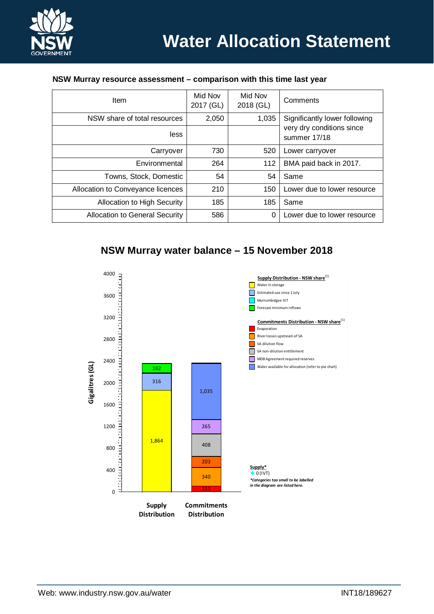

#### **NSW Murray resource assessment – comparison with this time last year**

| Item                                  | Mid Nov<br>2017 (GL) | Mid Nov<br>2018 (GL) | Comments                                  |
|---------------------------------------|----------------------|----------------------|-------------------------------------------|
| NSW share of total resources          | 2,050                | 1,035                | Significantly lower following             |
| less                                  |                      |                      | very dry conditions since<br>summer 17/18 |
| Carryover                             | 730                  | 520                  | Lower carryover                           |
| Environmental                         | 264                  | 112                  | BMA paid back in 2017.                    |
| Towns, Stock, Domestic                | 54                   | 54                   | Same                                      |
| Allocation to Conveyance licences     | 210                  | 150                  | Lower due to lower resource               |
| Allocation to High Security           | 185                  | 185                  | Same                                      |
| <b>Allocation to General Security</b> | 586                  | 0                    | Lower due to lower resource               |

# **NSW Murray water balance – 15 November 2018**

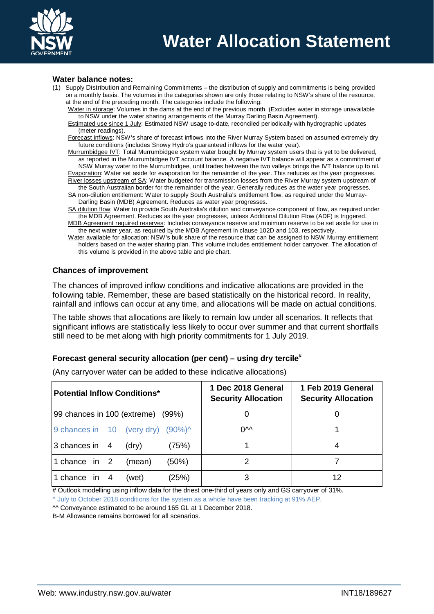

#### **Water balance notes:**

- (1) Supply Distribution and Remaining Commitments the distribution of supply and commitments is being provided on a monthly basis. The volumes in the categories shown are only those relating to NSW's share of the resource, at the end of the preceding month. The categories include the following:
	- Water in storage: Volumes in the dams at the end of the previous month. (Excludes water in storage unavailable to NSW under the water sharing arrangements of the Murray Darling Basin Agreement).
	- Estimated use since 1 July: Estimated NSW usage to-date, reconciled periodically with hydrographic updates (meter readings).

Forecast inflows: NSW's share of forecast inflows into the River Murray System based on assumed extremely dry future conditions (includes Snowy Hydro's guaranteed inflows for the water year).

Murrumbidgee IVT: Total Murrumbidgee system water bought by Murray system users that is yet to be delivered, as reported in the Murrumbidgee IVT account balance. A negative IVT balance will appear as a commitment of NSW Murray water to the Murrumbidgee, until trades between the two valleys brings the IVT balance up to nil.

Evaporation: Water set aside for evaporation for the remainder of the year. This reduces as the year progresses. River losses upstream of SA: Water budgeted for transmission losses from the River Murray system upstream of the South Australian border for the remainder of the year. Generally reduces as the water year progresses.

SA non-dilution entitlement: Water to supply South Australia's entitlement flow, as required under the Murray-Darling Basin (MDB) Agreement. Reduces as water year progresses.

SA dilution flow: Water to provide South Australia's dilution and conveyance component of flow, as required under the MDB Agreement. Reduces as the year progresses, unless Additional Dilution Flow (ADF) is triggered. MDB Agreement required reserves: Includes conveyance reserve and minimum reserve to be set aside for use in

the next water year, as required by the MDB Agreement in clause 102D and 103, respectively.

Water available for allocation: NSW's bulk share of the resource that can be assigned to NSW Murray entitlement holders based on the water sharing plan. This volume includes entitlement holder carryover. The allocation of this volume is provided in the above table and pie chart.

#### **Chances of improvement**

The chances of improved inflow conditions and indicative allocations are provided in the following table. Remember, these are based statistically on the historical record. In reality, rainfall and inflows can occur at any time, and allocations will be made on actual conditions.

The table shows that allocations are likely to remain low under all scenarios. It reflects that significant inflows are statistically less likely to occur over summer and that current shortfalls still need to be met along with high priority commitments for 1 July 2019.

### **Forecast general security allocation (per cent) – using dry tercile#**

| <b>Potential Inflow Conditions*</b>          | 1 Dec 2018 General<br><b>Security Allocation</b> | 1 Feb 2019 General<br><b>Security Allocation</b> |  |  |
|----------------------------------------------|--------------------------------------------------|--------------------------------------------------|--|--|
| 99 chances in 100 (extreme) (99%)            |                                                  |                                                  |  |  |
| 9 chances in 10 (very dry) $(90\%)^{\wedge}$ | <b>NV</b>                                        |                                                  |  |  |
| 3 chances in 4<br>(75%)<br>(dry)             |                                                  |                                                  |  |  |
| (50%)<br>1 chance in 2<br>(mean)             |                                                  |                                                  |  |  |
| (25%)<br>1 chance in<br>4<br>(wet)           |                                                  | 12                                               |  |  |

(Any carryover water can be added to these indicative allocations)

# Outlook modelling using inflow data for the driest one-third of years only and GS carryover of 31%.

^ July to October 2018 conditions for the system as a whole have been tracking at 91% AEP.

^^ Conveyance estimated to be around 165 GL at 1 December 2018.

B-M Allowance remains borrowed for all scenarios.